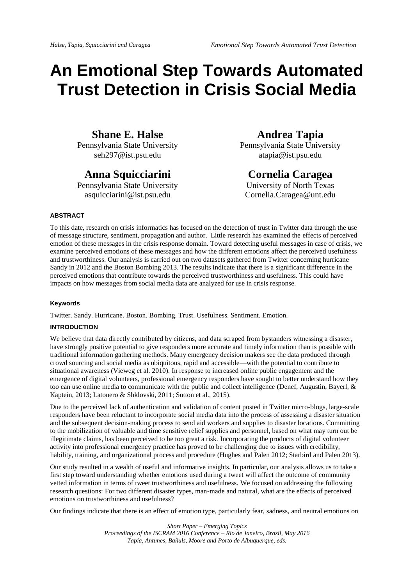# **An Emotional Step Towards Automated Trust Detection in Crisis Social Media**

# **Shane E. Halse**

Pennsylvania State University seh297@ist.psu.edu

# **Anna Squicciarini**

Pennsylvania State University asquicciarini@ist.psu.edu

# **Andrea Tapia**

Pennsylvania State University atapia@ist.psu.edu

# **Cornelia Caragea**

University of North Texas Cornelia.Caragea@unt.edu

# **ABSTRACT**

To this date, research on crisis informatics has focused on the detection of trust in Twitter data through the use of message structure, sentiment, propagation and author. Little research has examined the effects of perceived emotion of these messages in the crisis response domain. Toward detecting useful messages in case of crisis, we examine perceived emotions of these messages and how the different emotions affect the perceived usefulness and trustworthiness. Our analysis is carried out on two datasets gathered from Twitter concerning hurricane Sandy in 2012 and the Boston Bombing 2013. The results indicate that there is a significant difference in the perceived emotions that contribute towards the perceived trustworthiness and usefulness. This could have impacts on how messages from social media data are analyzed for use in crisis response.

#### **Keywords**

Twitter. Sandy. Hurricane. Boston. Bombing. Trust. Usefulness. Sentiment. Emotion.

# **INTRODUCTION**

We believe that data directly contributed by citizens, and data scraped from bystanders witnessing a disaster, have strongly positive potential to give responders more accurate and timely information than is possible with traditional information gathering methods. Many emergency decision makers see the data produced through crowd sourcing and social media as ubiquitous, rapid and accessible—with the potential to contribute to situational awareness (Vieweg et al. 2010). In response to increased online public engagement and the emergence of digital volunteers, professional emergency responders have sought to better understand how they too can use online media to communicate with the public and collect intelligence (Denef, Augustin, Bayerl, & Kaptein, 2013; Latonero & Shklovski, 2011; Sutton et al., 2015).

Due to the perceived lack of authentication and validation of content posted in Twitter micro-blogs, large-scale responders have been reluctant to incorporate social media data into the process of assessing a disaster situation and the subsequent decision-making process to send aid workers and supplies to disaster locations. Committing to the mobilization of valuable and time sensitive relief supplies and personnel, based on what may turn out be illegitimate claims, has been perceived to be too great a risk. Incorporating the products of digital volunteer activity into professional emergency practice has proved to be challenging due to issues with credibility, liability, training, and organizational process and procedure (Hughes and Palen 2012; Starbird and Palen 2013).

Our study resulted in a wealth of useful and informative insights. In particular, our analysis allows us to take a first step toward understanding whether emotions used during a tweet will affect the outcome of community vetted information in terms of tweet trustworthiness and usefulness. We focused on addressing the following research questions: For two different disaster types, man-made and natural, what are the effects of perceived emotions on trustworthiness and usefulness?

Our findings indicate that there is an effect of emotion type, particularly fear, sadness, and neutral emotions on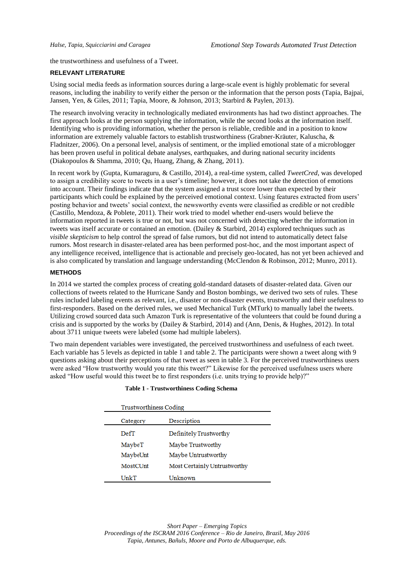the trustworthiness and usefulness of a Tweet.

## **RELEVANT LITERATURE**

Using social media feeds as information sources during a large-scale event is highly problematic for several reasons, including the inability to verify either the person or the information that the person posts (Tapia, Bajpai, Jansen, Yen, & Giles, 2011; Tapia, Moore, & Johnson, 2013; Starbird & Paylen, 2013).

The research involving veracity in technologically mediated environments has had two distinct approaches. The first approach looks at the person supplying the information, while the second looks at the information itself. Identifying who is providing information, whether the person is reliable, credible and in a position to know information are extremely valuable factors to establish trustworthiness (Grabner-Kräuter, Kaluscha, & Fladnitzer, 2006). On a personal level, analysis of sentiment, or the implied emotional state of a microblogger has been proven useful in political debate analyses, earthquakes, and during national security incidents (Diakopoulos & Shamma, 2010; Qu, Huang, Zhang, & Zhang, 2011).

In recent work by (Gupta, Kumaraguru, & Castillo, 2014), a real-time system, called *TweetCred*, was developed to assign a credibility score to tweets in a user's timeline; however, it does not take the detection of emotions into account. Their findings indicate that the system assigned a trust score lower than expected by their participants which could be explained by the perceived emotional context. Using features extracted from users' posting behavior and tweets' social context, the newsworthy events were classified as credible or not credible (Castillo, Mendoza, & Poblete, 2011). Their work tried to model whether end-users would believe the information reported in tweets is true or not, but was not concerned with detecting whether the information in tweets was itself accurate or contained an emotion. (Dailey & Starbird, 2014) explored techniques such as *visible skepticism* to help control the spread of false rumors, but did not intend to automatically detect false rumors. Most research in disaster-related area has been performed post-hoc, and the most important aspect of any intelligence received, intelligence that is actionable and precisely geo-located, has not yet been achieved and is also complicated by translation and language understanding (McClendon & Robinson, 2012; Munro, 2011).

# **METHODS**

In 2014 we started the complex process of creating gold-standard datasets of disaster-related data. Given our collections of tweets related to the Hurricane Sandy and Boston bombings, we derived two sets of rules. These rules included labeling events as relevant, i.e., disaster or non-disaster events, trustworthy and their usefulness to first-responders. Based on the derived rules, we used Mechanical Turk (MTurk) to manually label the tweets. Utilizing crowd sourced data such Amazon Turk is representative of the volunteers that could be found during a crisis and is supported by the works by (Dailey & Starbird, 2014) and (Ann, Denis, & Hughes, 2012). In total about 3711 unique tweets were labeled (some had multiple labelers).

Two main dependent variables were investigated, the perceived trustworthiness and usefulness of each tweet. Each variable has 5 levels as depicted in table 1 and table 2. The participants were shown a tweet along with 9 questions asking about their perceptions of that tweet as seen in table 3. For the perceived trustworthiness users were asked "How trustworthy would you rate this tweet?" Likewise for the perceived usefulness users where asked "How useful would this tweet be to first responders (i.e. units trying to provide help)?"

| Trustworthiness Coding |                              |
|------------------------|------------------------------|
| Category               | Description                  |
| DefT                   | Definitely Trustworthy       |
| MaybeT                 | Maybe Trustworthy            |
| MaybeUnt               | Maybe Untrustworthy          |
| <b>MostCUnt</b>        | Most Certainly Untrustworthy |
| UnkT                   | Unknown                      |

## **Table 1 - Trustworthiness Coding Schema**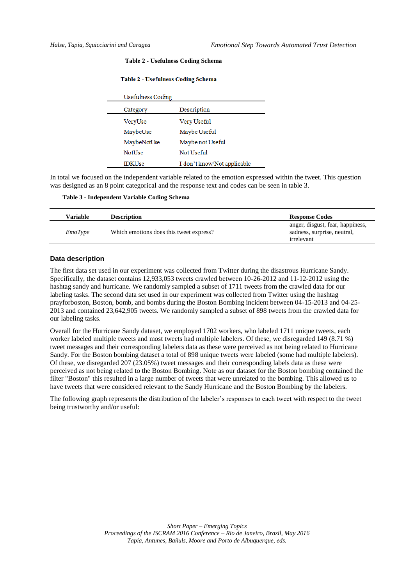#### **Table 2 - Usefulness Coding Schema**

| Usefulness Coding |                             |
|-------------------|-----------------------------|
| Category          | Description                 |
| VeryUse           | Very Useful                 |
| MaybeUse          | Maybe Useful                |
| MaybeNotUse       | Maybe not Useful            |
| <b>NotUse</b>     | Not Useful                  |
| <b>IDKUse</b>     | I don't know/Not applicable |

## **Table 2 - Usefulness Coding Schema**

In total we focused on the independent variable related to the emotion expressed within the tweet. This question was designed as an 8 point categorical and the response text and codes can be seen in table 3.

**Table 3 - Independent Variable Coding Schema**

| Variable       | <b>Description</b>                      | <b>Response Codes</b>                                                         |
|----------------|-----------------------------------------|-------------------------------------------------------------------------------|
| <i>EmoType</i> | Which emotions does this tweet express? | anger, disgust, fear, happiness,<br>sadness, surprise, neutral,<br>irrelevant |

# **Data description**

The first data set used in our experiment was collected from Twitter during the disastrous Hurricane Sandy. Specifically, the dataset contains 12,933,053 tweets crawled between 10-26-2012 and 11-12-2012 using the hashtag sandy and hurricane. We randomly sampled a subset of 1711 tweets from the crawled data for our labeling tasks. The second data set used in our experiment was collected from Twitter using the hashtag prayforboston, Boston, bomb, and bombs during the Boston Bombing incident between 04-15-2013 and 04-25- 2013 and contained 23,642,905 tweets. We randomly sampled a subset of 898 tweets from the crawled data for our labeling tasks.

Overall for the Hurricane Sandy dataset, we employed 1702 workers, who labeled 1711 unique tweets, each worker labeled multiple tweets and most tweets had multiple labelers. Of these, we disregarded 149 (8.71 %) tweet messages and their corresponding labelers data as these were perceived as not being related to Hurricane Sandy. For the Boston bombing dataset a total of 898 unique tweets were labeled (some had multiple labelers). Of these, we disregarded 207 (23.05%) tweet messages and their corresponding labels data as these were perceived as not being related to the Boston Bombing. Note as our dataset for the Boston bombing contained the filter "Boston" this resulted in a large number of tweets that were unrelated to the bombing. This allowed us to have tweets that were considered relevant to the Sandy Hurricane and the Boston Bombing by the labelers.

The following graph represents the distribution of the labeler's responses to each tweet with respect to the tweet being trustworthy and/or useful: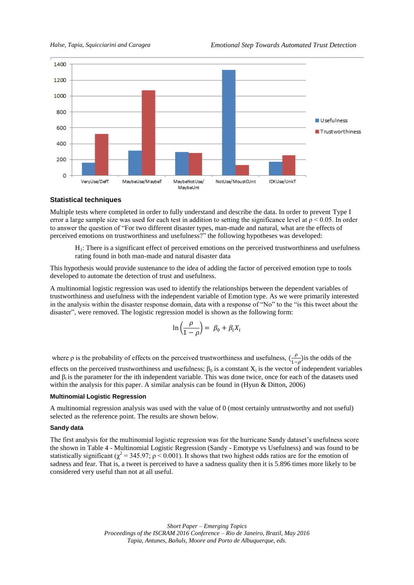

# **Statistical techniques**

Multiple tests where completed in order to fully understand and describe the data. In order to prevent Type I error a large sample size was used for each test in addition to setting the significance level at  $p < 0.05$ . In order to answer the question of "For two different disaster types, man-made and natural, what are the effects of perceived emotions on trustworthiness and usefulness?" the following hypotheses was developed:

H1: There is a significant effect of perceived emotions on the perceived trustworthiness and usefulness rating found in both man-made and natural disaster data

This hypothesis would provide sustenance to the idea of adding the factor of perceived emotion type to tools developed to automate the detection of trust and usefulness.

A multinomial logistic regression was used to identify the relationships between the dependent variables of trustworthiness and usefulness with the independent variable of Emotion type. As we were primarily interested in the analysis within the disaster response domain, data with a response of "No" to the "is this tweet about the disaster", were removed. The logistic regression model is shown as the following form:

$$
\ln\left(\frac{\rho}{1-\rho}\right) = \beta_0 + \beta_i X_i
$$

where  $\rho$  is the probability of effects on the perceived trustworthiness and usefulness,  $\left(\frac{\rho}{\rho}\right)$  $\frac{\mu}{1-\rho}$ ) is the odds of the effects on the perceived trustworthiness and usefulness;  $\beta_0$  is a constant  $X_i$  is the vector of independent variables and  $\beta_i$  is the parameter for the ith independent variable. This was done twice, once for each of the datasets used within the analysis for this paper. A similar analysis can be found in (Hyun & Ditton, 2006)

#### **Multinomial Logistic Regression**

A multinomial regression analysis was used with the value of 0 (most certainly untrustworthy and not useful) selected as the reference point. The results are shown below.

#### **Sandy data**

The first analysis for the multinomial logistic regression was for the hurricane Sandy dataset's usefulness score the shown in Table 4 - [Multinomial Logistic Regression \(Sandy -](#page-4-0) Emotype vs Usefulness) and was found to be statistically significant ( $\chi^2$  = 345.97;  $\rho$  < 0.001). It shows that two highest odds ratios are for the emotion of sadness and fear. That is, a tweet is perceived to have a sadness quality then it is 5.896 times more likely to be considered very useful than not at all useful.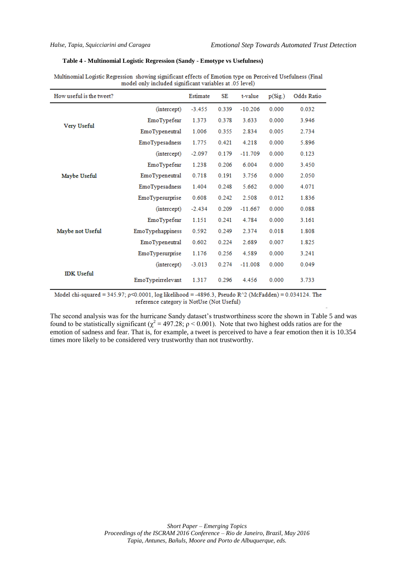# <span id="page-4-0"></span>**Table 4 - Multinomial Logistic Regression (Sandy - Emotype vs Usefulness)**

| How useful is the tweet? |                   | Estimate | SE    | t-value   | p(Sig.) | Odds Ratio |
|--------------------------|-------------------|----------|-------|-----------|---------|------------|
|                          | (intercept)       | $-3.455$ | 0.339 | $-10.206$ | 0.000   | 0.032      |
| Very Useful              | EmoTypefear       | 1.373    | 0.378 | 3.633     | 0.000   | 3.946      |
|                          | EmoTypeneutral    | 1.006    | 0.355 | 2.834     | 0.005   | 2.734      |
|                          | EmoTypesadness    | 1.775    | 0.421 | 4.218     | 0.000   | 5.896      |
|                          | (intercept)       | $-2.097$ | 0.179 | $-11.709$ | 0.000   | 0.123      |
|                          | EmoTypefear       | 1.238    | 0.206 | 6.004     | 0.000   | 3.450      |
| Maybe Useful             | EmoTypeneutral    | 0.718    | 0.191 | 3.756     | 0.000   | 2.050      |
|                          | EmoTypesadness    | 1.404    | 0.248 | 5.662     | 0.000   | 4.071      |
|                          | EmoTypesurprise   | 0.608    | 0.242 | 2.508     | 0.012   | 1.836      |
|                          | (intercept)       | $-2.434$ | 0.209 | $-11.667$ | 0.000   | 0.088      |
| Maybe not Useful         | EmoTypefear       | 1.151    | 0.241 | 4.784     | 0.000   | 3.161      |
|                          | EmoTypehappiness  | 0.592    | 0.249 | 2.374     | 0.018   | 1.808      |
|                          | EmoTypeneutral    | 0.602    | 0.224 | 2.689     | 0.007   | 1.825      |
|                          | EmoTypesurprise   | 1.176    | 0.256 | 4.589     | 0.000   | 3.241      |
| <b>IDK</b> Useful        | (intercept)       | $-3.013$ | 0.274 | $-11.008$ | 0.000   | 0.049      |
|                          | EmoTypeirrelevant | 1.317    | 0.296 | 4.456     | 0.000   | 3.733      |

| Multinomial Logistic Regression showing significant effects of Emotion type on Perceived Usefulness (Final |                                                         |  |  |
|------------------------------------------------------------------------------------------------------------|---------------------------------------------------------|--|--|
|                                                                                                            | model only included significant variables at .05 level) |  |  |

Model chi-squared = 345.97; p<0.0001, log likelihood = -4896.3, Pseudo R^2 (McFadden) = 0.034124. The reference category is NotUse (Not Useful)

The second analysis was for the hurricane Sandy dataset's trustworthiness score the shown in Table 5 and was found to be statistically significant ( $\chi^2$  = 497.28;  $\rho$  < 0.001). Note that two highest odds ratios are for the emotion of sadness and fear. That is, for example, a tweet is perceived to have a fear emotion then it is 10.354 times more likely to be considered very trustworthy than not trustworthy.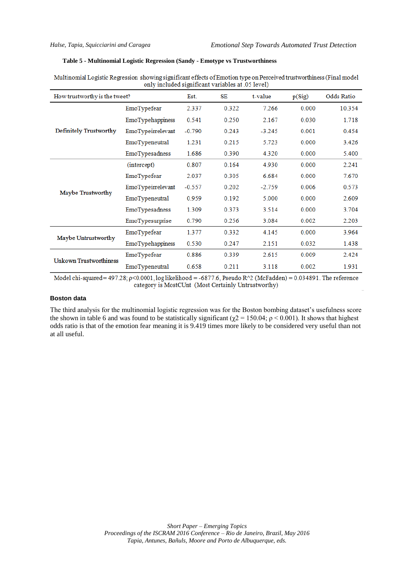## **Table 5 - Multinomial Logistic Regression (Sandy - Emotype vs Trustworthiness**

| How trustworthy is the tweet? |                         | Est.     | SE    | t-value  | p(Sig) | <b>Odds Ratio</b> |  |
|-------------------------------|-------------------------|----------|-------|----------|--------|-------------------|--|
|                               | EmoTypefear             | 2.337    | 0.322 | 7.266    | 0.000  | 10.354            |  |
|                               | <b>EmoTypehappiness</b> | 0.541    | 0.250 | 2.167    | 0.030  | 1.718             |  |
| Definitely Trustworthy        | EmoTypeirrelevant       | $-0.790$ | 0.243 | $-3.245$ | 0.001  | 0.454             |  |
|                               | EmoTypeneutral          | 1.231    | 0.215 | 5.723    | 0.000  | 3.426             |  |
|                               | EmoTypesadness          | 1.686    | 0.390 | 4.320    | 0.000  | 5.400             |  |
|                               | (intercept)             | 0.807    | 0.164 | 4.930    | 0.000  | 2.241             |  |
| Maybe Trustworthy             | EmoTypefear             | 2.037    | 0.305 | 6.684    | 0.000  | 7.670             |  |
|                               | EmoTypeirrelevant       | $-0.557$ | 0.202 | $-2.759$ | 0.006  | 0.573             |  |
|                               | EmoTypeneutral          | 0.959    | 0.192 | 5.000    | 0.000  | 2.609             |  |
|                               | EmoTypesadness          | 1.309    | 0.373 | 3.514    | 0.000  | 3.704             |  |
|                               | EmoTypesurprise         | 0.790    | 0.256 | 3.084    | 0.002  | 2.203             |  |
| Maybe Untrustworthy           | EmoTypefear             | 1.377    | 0.332 | 4.145    | 0.000  | 3.964             |  |
|                               | <b>EmoTypehappiness</b> | 0.530    | 0.247 | 2.151    | 0.032  | 1.438             |  |
| Unkown Trustworthiness        | EmoTypefear             | 0.886    | 0.339 | 2.615    | 0.009  | 2.424             |  |
|                               | EmoTypeneutral          | 0.658    | 0.211 | 3.118    | 0.002  | 1.931             |  |

Multinomial Logistic Regression showing significant effects of Emotion type on Perceived trustworthiness (Final model only included significant variables at .05 level)

Model chi-squared = 497.28;  $p < 0.0001$ ,  $log$  likelihood = -6877.6, Pseudo R^2 (McFadden) = 0.034891. The reference category is MostCUnt (Most Certainly Untrustworthy)

# **Boston data**

The third analysis for the multinomial logistic regression was for the Boston bombing dataset's usefulness score the shown in table 6 and was found to be statistically significant ( $\chi$ 2 = 150.04;  $\rho$  < 0.001). It shows that highest odds ratio is that of the emotion fear meaning it is 9.419 times more likely to be considered very useful than not at all useful.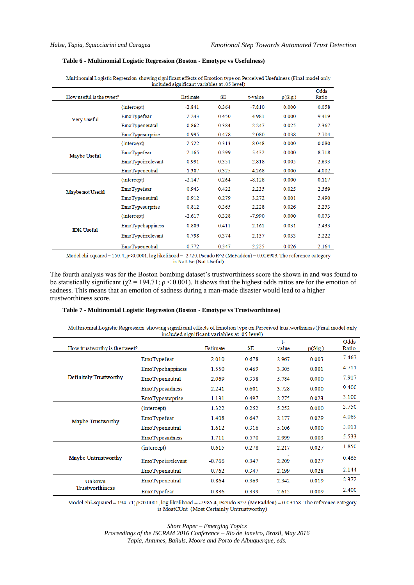#### **Table 6 - Multinomial Logistic Regression (Boston - Emotype vs Usefulness)**

|                   | How useful is the tweet? |          | mended significant variables at .05 fever)<br>SE | t-value  | p(Sig.) | Odds<br>Ratio |
|-------------------|--------------------------|----------|--------------------------------------------------|----------|---------|---------------|
|                   | (intercept)              | $-2.841$ | 0.364                                            | $-7.810$ | 0.000   | 0.058         |
| Very Useful       | EmoTypefear              | 2.243    | 0.450                                            | 4.981    | 0.000   | 9.419         |
|                   | EmoTypeneutral           | 0.862    | 0.384                                            | 2.247    | 0.025   | 2.367         |
|                   | EmoTypesurprise          | 0.995    | 0.478                                            | 2.080    | 0.038   | 2.704         |
|                   | (intercept)              | $-2.522$ | 0.313                                            | $-8.048$ | 0.000   | 0.080         |
| Maybe Useful      | EmoTypefear              | 2.165    | 0.399                                            | 5.432    | 0.000   | 8.718         |
|                   | EmoTypeirrelevant        | 0.991    | 0.351                                            | 2.818    | 0.005   | 2.693         |
|                   | EmoTypeneutral           | 1.387    | 0.325                                            | 4.268    | 0.000   | 4.002         |
|                   | (intercept)              | $-2.147$ | 0.264                                            | $-8.128$ | 0.000   | 0.117         |
| Maybe not Useful  | EmoTypefear              | 0.943    | 0.422                                            | 2.235    | 0.025   | 2.569         |
|                   | EmoTypeneutral           | 0.912    | 0.279                                            | 3.272    | 0.001   | 2.490         |
|                   | EmoTypesurprise          | 0.812    | 0.365                                            | 2.228    | 0.026   | 2.253         |
|                   | (intercept)              | $-2.617$ | 0.328                                            | $-7.990$ | 0.000   | 0.073         |
| <b>IDK</b> Useful | <b>EmoTypehappiness</b>  | 0.889    | 0.411                                            | 2.161    | 0.031   | 2.433         |
|                   | EmoTypeirrelevant        | 0.798    | 0.374                                            | 2.137    | 0.033   | 2.222         |
|                   | EmoTypeneutral           | 0.772    | 0.347                                            | 2.225    | 0.026   | 2.164         |

Multinomial Logistic Regression showing significant effects of Emotion type on Perceived Usefulness (Final model only included significant variables at 05 level)

Model chi-squared =  $150.4$ ;  $p < 0.0001$ ,  $log$  likelihood = -2720, Pseudo R^2 (McFadden) = 0.026903. The reference category is NotUse (Not Useful)

The fourth analysis was for the Boston bombing dataset's trustworthiness score the shown in and was found to be statistically significant ( $\chi$ 2 = 194.71;  $\rho$  < 0.001). It shows that the highest odds ratios are for the emotion of sadness. This means that an emotion of sadness during a man-made disaster would lead to a higher trustworthiness score.

#### **Table 7 - Multinomial Logistic Regression (Boston - Emotype vs Trustworthiness)**

Multinomial Logistic Regression showing significant effects of Emotion type on Perceived trustworthiness (Final model only included significant variables at .05 level)

| How trustworthy is the tweet? |                         | Estimate | SE    | $t-$<br>value | p(Sig) | Odds<br>Ratio |
|-------------------------------|-------------------------|----------|-------|---------------|--------|---------------|
|                               | EmoTypefear             | 2.010    | 0.678 | 2.967         | 0.003  | 7.467         |
|                               | <b>EmoTypehappiness</b> | 1.550    | 0.469 | 3.305         | 0.001  | 4.711         |
| Definitely Trustworthy        | EmoTypeneutral          | 2.069    | 0.358 | 5.784         | 0.000  | 7.917         |
|                               | EmoTypesadness          | 2.241    | 0.601 | 3.728         | 0.000  | 9.400         |
|                               | EmoTypesurprise         | 1.131    | 0.497 | 2.275         | 0.023  | 3.100         |
| Maybe Trustworthy             | (intercept)             | 1.322    | 0.252 | 5.252         | 0.000  | 3.750         |
|                               | EmoTypefear             | 1.408    | 0.647 | 2.177         | 0.029  | 4.089         |
|                               | EmoTypeneutral          | 1.612    | 0.316 | 5.106         | 0.000  | 5.011         |
|                               | EmoTypesadness          | 1.711    | 0.570 | 2.999         | 0.003  | 5.533         |
|                               | (intercept)             | 0.615    | 0.278 | 2.217         | 0.027  | 1.850         |
| Maybe Untrustworthy           | EmoTypeirrelevant       | $-0.766$ | 0.347 | 2.209         | 0.027  | 0.465         |
|                               | EmoTypeneutral          | 0.762    | 0.347 | 2.199         | 0.028  | 2.144         |
| Unkown<br>Trustworthiness     | EmoTypeneutral          | 0.864    | 0.369 | 2.342         | 0.019  | 2.372         |
|                               | EmoTypefear             | 0.886    | 0.339 | 2.615         | 0.009  | 2.400         |

Model chi-squared = 194.71; p<0.0001, log likelihood = -2985.4, Pseudo R^2 (McFadden) = 0.03158. The reference category is MostCUnt (Most Certainly Untrustworthy)

*Short Paper – Emerging Topics*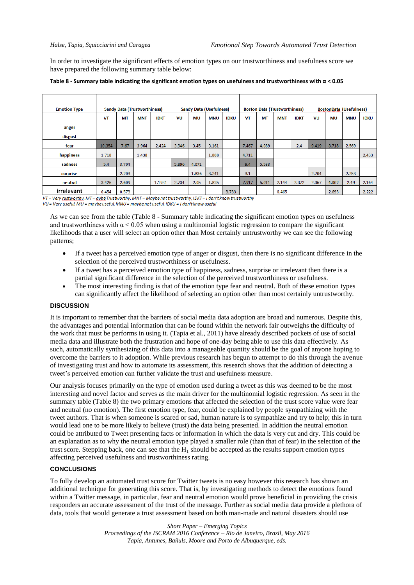In order to investigate the significant effects of emotion types on our trustworthiness and usefulness score we have prepared the following summary table below:

| <b>Emotion Type</b> |        | <b>Sandy Data (Trustworthiness)</b> |            |             |       |           | <b>Sandy Data (Usefulness)</b> |             |       | <b>Boston Data (Trustworthiness)</b> |            |             |       |           | <b>BostonData (Usefulness)</b> |             |
|---------------------|--------|-------------------------------------|------------|-------------|-------|-----------|--------------------------------|-------------|-------|--------------------------------------|------------|-------------|-------|-----------|--------------------------------|-------------|
|                     | VT     | MT                                  | <b>MNT</b> | <b>IDKT</b> | VU    | <b>MU</b> | <b>MNU</b>                     | <b>IDKU</b> | VT    | MT                                   | <b>MNT</b> | <b>IDKT</b> | VU    | <b>MU</b> | <b>MNU</b>                     | <b>IDKU</b> |
| anger               |        |                                     |            |             |       |           |                                |             |       |                                      |            |             |       |           |                                |             |
| disgust             |        |                                     |            |             |       |           |                                |             |       |                                      |            |             |       |           |                                |             |
| fear                | 10.354 | 7.67                                | 3.964      | 2.424       | 3.946 | 3.45      | 3.161                          |             | 7.467 | 4.089                                |            | 2.4         | 9.419 | 8.718     | 2.569                          |             |
| happiness           | 1.718  |                                     | 1.438      |             |       |           | 1.808                          |             | 4.711 |                                      |            |             |       |           |                                | 2.433       |
| sadness             | 5.4    | 3.704                               |            |             | 5.896 | 4.071     |                                |             | 9.4   | 5.533                                |            |             |       |           |                                |             |
| surprise            |        | 2.203                               |            |             |       | 1.836     | 3.241                          |             | 3.1   |                                      |            |             | 2.704 |           | 2.253                          |             |
| neutral             | 3.426  | 2.609                               |            | 1.1931      | 2.734 | 2.05      | 1.825                          |             | 7.917 | 5.011                                | 2.144      | 2.372       | 2.367 | 4.002     | 2.49                           | 2.164       |
| irrelevant          | 0.454  | 0.573                               |            |             |       |           |                                | 3.733       |       |                                      | 0.465      |             |       | 2.693     |                                | 2.222       |

<span id="page-7-0"></span>

| Table 8 - Summary table indicating the significant emotion types on usefulness and trustworthiness with $\alpha$ < 0.05 |  |
|-------------------------------------------------------------------------------------------------------------------------|--|
|-------------------------------------------------------------------------------------------------------------------------|--|

 $V\bar{I}$  = Very rustworthy. MT = aybe Trustworthy. MNT = Maybe not trustworthy. IDKT = 1 don't know trustworthy VU = Very useful, MU = maybe useful, MNU = maybe not useful, IDKU = I don't know useful

As we can see from the table (Table 8 - [Summary table indicating the significant emotion types on usefulness](#page-7-0)  and trustworthiness with  $\alpha$  < 0.05 when using a multinomial logistic regression to compare the significant likelihoods that a user will select an option other than Most certainly untrustworthy we can see the following patterns;

- If a tweet has a perceived emotion type of anger or disgust, then there is no significant difference in the selection of the perceived trustworthiness or usefulness.
- If a tweet has a perceived emotion type of happiness, sadness, surprise or irrelevant then there is a partial significant difference in the selection of the perceived trustworthiness or usefulness.
- The most interesting finding is that of the emotion type fear and neutral. Both of these emotion types can significantly affect the likelihood of selecting an option other than most certainly untrustworthy.

#### **DISCUSSION**

It is important to remember that the barriers of social media data adoption are broad and numerous. Despite this, the advantages and potential information that can be found within the network fair outweighs the difficulty of the work that must be performs in using it. (Tapia et al., 2011) have already described pockets of use of social media data and illustrate both the frustration and hope of one-day being able to use this data effectively. As such, automatically synthesizing of this data into a manageable quantity should be the goal of anyone hoping to overcome the barriers to it adoption. While previous research has begun to attempt to do this through the avenue of investigating trust and how to automate its assessment, this research shows that the addition of detecting a tweet's perceived emotion can further validate the trust and usefulness measure.

Our analysis focuses primarily on the type of emotion used during a tweet as this was deemed to be the most interesting and novel factor and serves as the main driver for the multinomial logistic regression. As seen in the summary table (Table 8) the two primary emotions that affected the selection of the trust score value were fear and neutral (no emotion). The first emotion type, fear, could be explained by people sympathizing with the tweet authors. That is when someone is scared or sad, human nature is to sympathize and try to help; this in turn would lead one to be more likely to believe (trust) the data being presented. In addition the neutral emotion could be attributed to Tweet presenting facts or information in which the data is very cut and dry. This could be an explanation as to why the neutral emotion type played a smaller role (than that of fear) in the selection of the trust score. Stepping back, one can see that the  $H_1$  should be accepted as the results support emotion types affecting perceived usefulness and trustworthiness rating.

## **CONCLUSIONS**

To fully develop an automated trust score for Twitter tweets is no easy however this research has shown an additional technique for generating this score. That is, by investigating methods to detect the emotions found within a Twitter message, in particular, fear and neutral emotion would prove beneficial in providing the crisis responders an accurate assessment of the trust of the message. Further as social media data provide a plethora of data, tools that would generate a trust assessment based on both man-made and natural disasters should use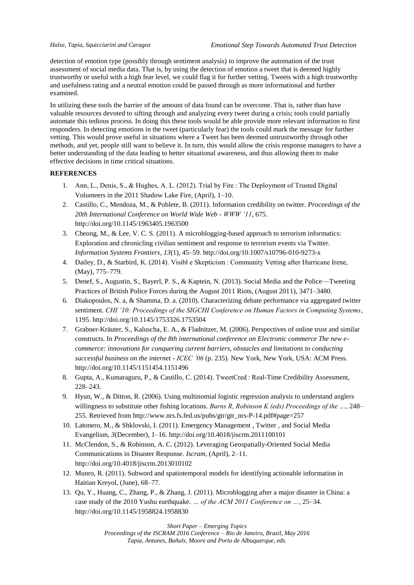detection of emotion type (possibly through sentiment analysis) to improve the automation of the trust assessment of social media data. That is, by using the detection of emotion a tweet that is deemed highly trustworthy or useful with a high fear level, we could flag it for further vetting. Tweets with a high trustworthy and usefulness rating and a neutral emotion could be passed through as more informational and further examined.

In utilizing these tools the barrier of the amount of data found can be overcome. That is, rather than have valuable resources devoted to sifting through and analyzing every tweet during a crisis; tools could partially automate this tedious process. In doing this these tools would be able provide more relevant information to first responders. In detecting emotions in the tweet (particularly fear) the tools could mark the message for further vetting. This would prove useful in situations where a Tweet has been deemed untrustworthy through other methods, and yet, people still want to believe it. In turn, this would allow the crisis response managers to have a better understanding of the data leading to better situational awareness, and thus allowing them to make effective decisions in time critical situations.

# **REFERENCES**

- 1. Ann, L., Denis, S., & Hughes, A. L. (2012). Trial by Fire : The Deployment of Trusted Digital Volunteers in the 2011 Shadow Lake Fire, (April), 1–10.
- 2. Castillo, C., Mendoza, M., & Poblete, B. (2011). Information credibility on twitter. *Proceedings of the 20th International Conference on World Wide Web - WWW '11*, 675. http://doi.org/10.1145/1963405.1963500
- 3. Cheong, M., & Lee, V. C. S. (2011). A microblogging-based approach to terrorism informatics: Exploration and chronicling civilian sentiment and response to terrorism events via Twitter. *Information Systems Frontiers*, *13*(1), 45–59. http://doi.org/10.1007/s10796-010-9273-x
- 4. Dailey, D., & Starbird, K. (2014). Visibl e Skepticism : Community Vetting after Hurricane Irene, (May), 775–779.
- 5. Denef, S., Augustin, S., Bayerl, P. S., & Kaptein, N. (2013). Social Media and the Police—Tweeting Practices of British Police Forces during the August 2011 Riots, (August 2011), 3471–3480.
- 6. Diakopoulos, N. a, & Shamma, D. a. (2010). Characterizing debate performance via aggregated twitter sentiment. *CHI '10: Proceedings of the SIGCHI Conference on Human Factors in Computing Systems*, 1195. http://doi.org/10.1145/1753326.1753504
- 7. Grabner-Kräuter, S., Kaluscha, E. A., & Fladnitzer, M. (2006). Perspectives of online trust and similar constructs. In *Proceedings of the 8th international conference on Electronic commerce The new ecommerce: innovations for conquering current barriers, obstacles and limitations to conducting successful business on the internet - ICEC '06* (p. 235). New York, New York, USA: ACM Press. http://doi.org/10.1145/1151454.1151496
- 8. Gupta, A., Kumaraguru, P., & Castillo, C. (2014). TweetCred : Real-Time Credibility Assessment, 228–243.
- 9. Hyun, W., & Ditton, R. (2006). Using multinomial logistic regression analysis to understand anglers willingness to substitute other fishing locations. *Burns R, Robinson K (eds) Proceedings of the …*, 248– 255. Retrieved from http://www.nrs.fs.fed.us/pubs/gtr/gtr\_nrs-P-14.pdf#page=257
- 10. Latonero, M., & Shklovski, I. (2011). Emergency Management , Twitter , and Social Media Evangelism, *3*(December), 1–16. http://doi.org/10.4018/jiscrm.2011100101
- 11. McClendon, S., & Robinson, A. C. (2012). Leveraging Geospatially-Oriented Social Media Communications in Disaster Response. *Iscram*, (April), 2–11. http://doi.org/10.4018/jiscrm.2013010102
- 12. Munro, R. (2011). Subword and spatiotemporal models for identifying actionable information in Haitian Kreyol, (June), 68–77.
- 13. Qu, Y., Huang, C., Zhang, P., & Zhang, J. (2011). Microblogging after a major disaster in China: a case study of the 2010 Yushu earthquake. *… of the ACM 2011 Conference on …*, 25–34. http://doi.org/10.1145/1958824.1958830